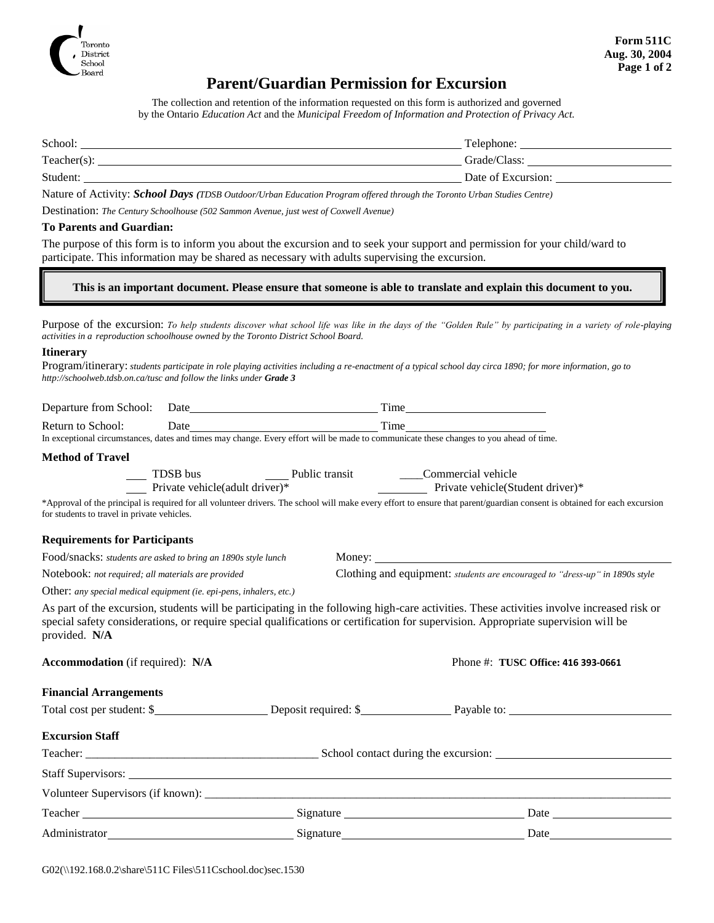

# **Parent/Guardian Permission for Excursion**

The collection and retention of the information requested on this form is authorized and governed by the Ontario *Education Act* and the *Municipal Freedom of Information and Protection of Privacy Act.*

| School:        | Telephone:         |
|----------------|--------------------|
| $Teacher(s)$ : | Grade/Class:       |
| Student:       | Date of Excursion: |

Nature of Activity: *School Days (TDSB Outdoor/Urban Education Program offered through the Toronto Urban Studies Centre)*

Destination: *The Century Schoolhouse (502 Sammon Avenue, just west of Coxwell Avenue)*

### **To Parents and Guardian:**

The purpose of this form is to inform you about the excursion and to seek your support and permission for your child/ward to participate. This information may be shared as necessary with adults supervising the excursion.

## **This is an important document. Please ensure that someone is able to translate and explain this document to you.**

Purpose of the excursion: *To help students discover what school life was like in the days of the "Golden Rule" by participating in a variety of role-playing activities in a reproduction schoolhouse owned by the Toronto District School Board.*

### **Itinerary**

Program/itinerary: *students participate in role playing activities including a re-enactment of a typical school day circa 1890; for more information, go to http://schoolweb.tdsb.on.ca/tusc and follow the links under Grade 3*

|                                                                                                                                                             | Time                                                                                                                         |                                                                                                                                                                                                                                                                                  |  |
|-------------------------------------------------------------------------------------------------------------------------------------------------------------|------------------------------------------------------------------------------------------------------------------------------|----------------------------------------------------------------------------------------------------------------------------------------------------------------------------------------------------------------------------------------------------------------------------------|--|
| Return to School:<br>In exceptional circumstances, dates and times may change. Every effort will be made to communicate these changes to you ahead of time. |                                                                                                                              |                                                                                                                                                                                                                                                                                  |  |
| <b>Method of Travel</b>                                                                                                                                     |                                                                                                                              |                                                                                                                                                                                                                                                                                  |  |
|                                                                                                                                                             | TDSB bus Public transit Commercial vehicle<br>Private vehicle(adult driver)* Public transit Private vehicle(Student driver)* |                                                                                                                                                                                                                                                                                  |  |
| for students to travel in private vehicles.                                                                                                                 |                                                                                                                              | *Approval of the principal is required for all volunteer drivers. The school will make every effort to ensure that parent/guardian consent is obtained for each excursion                                                                                                        |  |
| <b>Requirements for Participants</b>                                                                                                                        |                                                                                                                              |                                                                                                                                                                                                                                                                                  |  |
| Food/snacks: students are asked to bring an 1890s style lunch                                                                                               |                                                                                                                              |                                                                                                                                                                                                                                                                                  |  |
| Notebook: not required; all materials are provided                                                                                                          |                                                                                                                              | Clothing and equipment: <i>students are encouraged to "dress-up" in 1890s style</i>                                                                                                                                                                                              |  |
| Other: any special medical equipment (ie. epi-pens, inhalers, etc.)                                                                                         |                                                                                                                              |                                                                                                                                                                                                                                                                                  |  |
| provided. N/A                                                                                                                                               |                                                                                                                              | As part of the excursion, students will be participating in the following high-care activities. These activities involve increased risk or<br>special safety considerations, or require special qualifications or certification for supervision. Appropriate supervision will be |  |
| <b>Accommodation</b> (if required): N/A                                                                                                                     |                                                                                                                              | Phone #: TUSC Office: 416 393-0661                                                                                                                                                                                                                                               |  |
| <b>Financial Arrangements</b>                                                                                                                               |                                                                                                                              |                                                                                                                                                                                                                                                                                  |  |
|                                                                                                                                                             |                                                                                                                              | Total cost per student: \$                                                                                                                                                                                                                                                       |  |
| <b>Excursion Staff</b>                                                                                                                                      |                                                                                                                              |                                                                                                                                                                                                                                                                                  |  |
|                                                                                                                                                             |                                                                                                                              |                                                                                                                                                                                                                                                                                  |  |
|                                                                                                                                                             |                                                                                                                              |                                                                                                                                                                                                                                                                                  |  |
|                                                                                                                                                             |                                                                                                                              |                                                                                                                                                                                                                                                                                  |  |
|                                                                                                                                                             |                                                                                                                              |                                                                                                                                                                                                                                                                                  |  |
|                                                                                                                                                             |                                                                                                                              |                                                                                                                                                                                                                                                                                  |  |
|                                                                                                                                                             |                                                                                                                              |                                                                                                                                                                                                                                                                                  |  |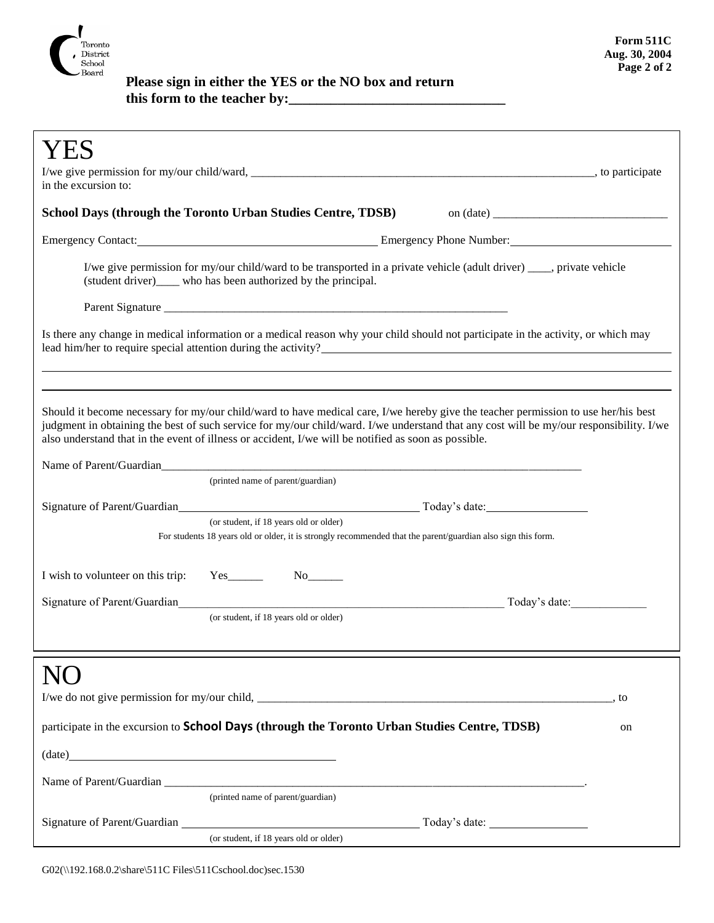

 **Please sign in either the YES or the NO box and return this form to the teacher by:\_\_\_\_\_\_\_\_\_\_\_\_\_\_\_\_\_\_\_\_\_\_\_\_\_\_\_\_\_\_\_**

| in the excursion to:                                                                                                                                                                                                                                                                                                                                                                                             |  |  |  |
|------------------------------------------------------------------------------------------------------------------------------------------------------------------------------------------------------------------------------------------------------------------------------------------------------------------------------------------------------------------------------------------------------------------|--|--|--|
| School Days (through the Toronto Urban Studies Centre, TDSB)                                                                                                                                                                                                                                                                                                                                                     |  |  |  |
| Emergency Contact: <u>Contact: Emergency Phone Number:</u> Emergency Phone Number:                                                                                                                                                                                                                                                                                                                               |  |  |  |
| I/we give permission for my/our child/ward to be transported in a private vehicle (adult driver) ____, private vehicle<br>(student driver) who has been authorized by the principal.                                                                                                                                                                                                                             |  |  |  |
|                                                                                                                                                                                                                                                                                                                                                                                                                  |  |  |  |
| Is there any change in medical information or a medical reason why your child should not participate in the activity, or which may<br>lead him/her to require special attention during the activity?                                                                                                                                                                                                             |  |  |  |
| Should it become necessary for my/our child/ward to have medical care, I/we hereby give the teacher permission to use her/his best<br>judgment in obtaining the best of such service for my/our child/ward. I/we understand that any cost will be my/our responsibility. I/we<br>also understand that in the event of illness or accident, I/we will be notified as soon as possible.<br>Name of Parent/Guardian |  |  |  |
| (printed name of parent/guardian)                                                                                                                                                                                                                                                                                                                                                                                |  |  |  |
|                                                                                                                                                                                                                                                                                                                                                                                                                  |  |  |  |
| (or student, if 18 years old or older)<br>For students 18 years old or older, it is strongly recommended that the parent/guardian also sign this form.                                                                                                                                                                                                                                                           |  |  |  |
| I wish to volunteer on this trip:<br>$Yes$ <sub>_________</sub>                                                                                                                                                                                                                                                                                                                                                  |  |  |  |
| Signature of Parent/Guardian<br>Today's date:<br><u> 1989 - Johann John Stone, markin fan it fjort fan it fjort fan it fjort fan it fjort fan it fjort fan it fjor</u>                                                                                                                                                                                                                                           |  |  |  |
| (or student, if 18 years old or older)                                                                                                                                                                                                                                                                                                                                                                           |  |  |  |
|                                                                                                                                                                                                                                                                                                                                                                                                                  |  |  |  |
| , to                                                                                                                                                                                                                                                                                                                                                                                                             |  |  |  |
| participate in the excursion to School Days (through the Toronto Urban Studies Centre, TDSB)<br>on                                                                                                                                                                                                                                                                                                               |  |  |  |
| $(\text{date})$                                                                                                                                                                                                                                                                                                                                                                                                  |  |  |  |
|                                                                                                                                                                                                                                                                                                                                                                                                                  |  |  |  |
| (printed name of parent/guardian)                                                                                                                                                                                                                                                                                                                                                                                |  |  |  |
| (or student, if 18 years old or older)                                                                                                                                                                                                                                                                                                                                                                           |  |  |  |